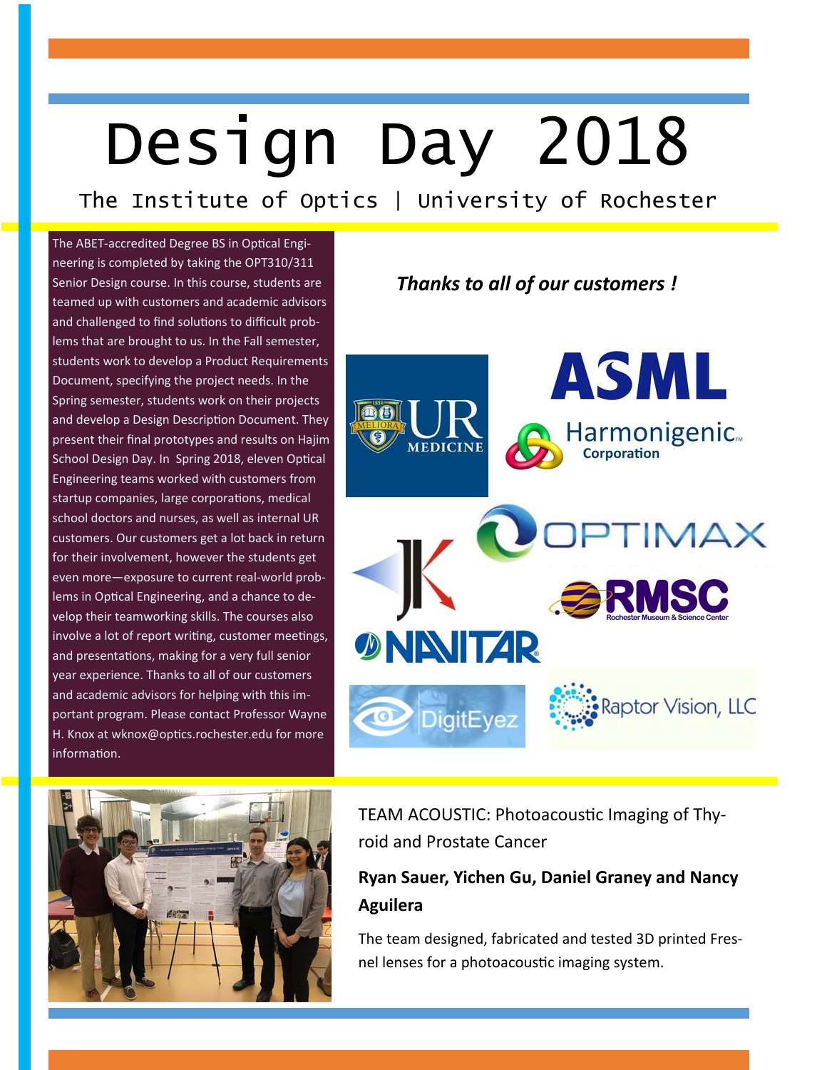# Design Day 2018

The Institute of Optics | University of Rochester

The ABET-accredited Degree BS in Optical Engineering is completed by taking the OPT310/311 Senior Design course. In this course, students are teamed up with customers and academic advisors and challenged to find solutions to difficult problems that are brought to us. In the Fall semester, students work to develop a Product Requirements Document, specifying the project needs. In the Spring semester, students work on their projects and develop a Design Description Document. They present their final prototypes and results on Hajim School Design Day. In Spring 2018, eleven Optical Engineering teams worked with customers from startup companies, large corporations, medical school doctors and nurses, as well as internal UR customers. Our customers get a lot back in return for their involvement, however the students get even more—exposure to current real-world problems in Optical Engineering, and a chance to develop their teamworking skills. The courses also involve a lot of report writing, customer meetings, and presentations, making for a very full senior year experience. Thanks to all of our customers and academic advisors for helping with this important program. Please contact Professor Wayne H. Knox at wknox@optics.rochester.edu for more information.





TEAM ACOUSTIC: Photoacoustic Imaging of Thyroid and Prostate Cancer

#### **Ryan Sauer, Yichen Gu, Daniel Graney and Nancy Aguilera**

The team designed, fabricated and tested 3D printed Fresnel lenses for a photoacoustic imaging system.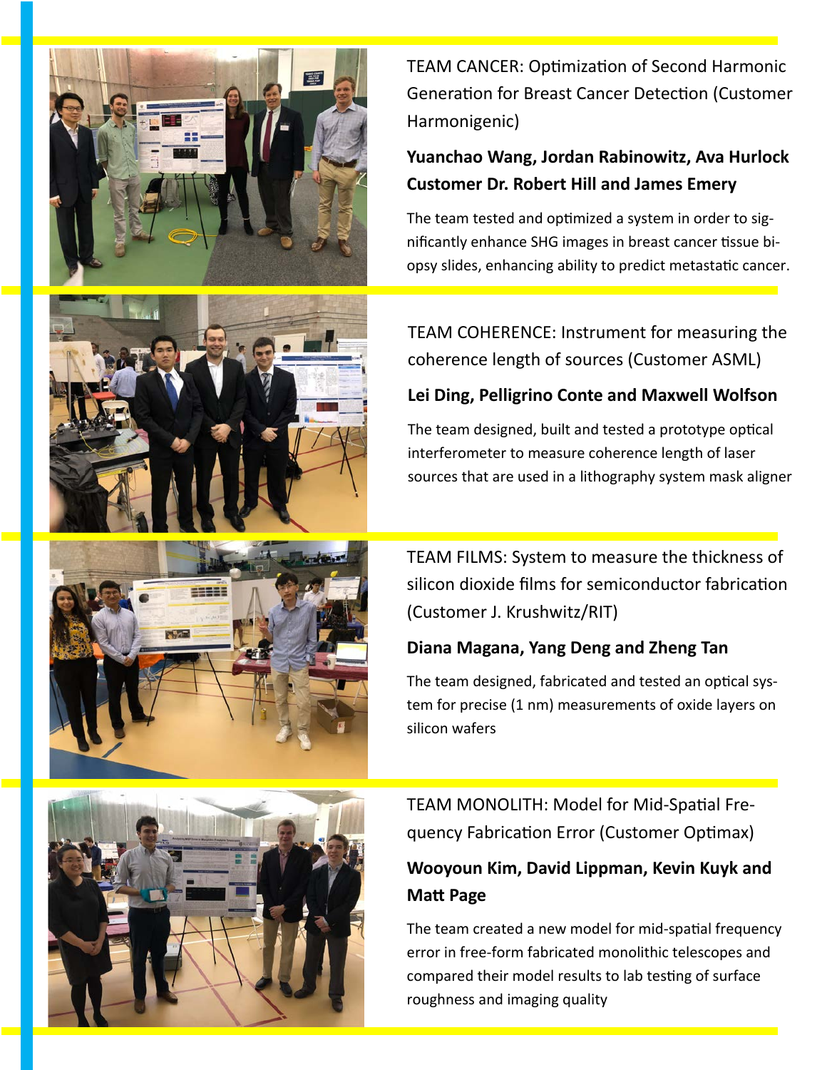







TEAM CANCER: Optimization of Second Harmonic Generation for Breast Cancer Detection (Customer Harmonigenic)

#### **Yuanchao Wang, Jordan Rabinowitz, Ava Hurlock Customer Dr. Robert Hill and James Emery**

The team tested and optimized a system in order to significantly enhance SHG images in breast cancer tissue biopsy slides, enhancing ability to predict metastatic cancer.

TEAM COHERENCE: Instrument for measuring the coherence length of sources (Customer ASML)

#### **Lei Ding, Pelligrino Conte and Maxwell Wolfson**

The team designed, built and tested a prototype optical interferometer to measure coherence length of laser sources that are used in a lithography system mask aligner

TEAM FILMS: System to measure the thickness of silicon dioxide films for semiconductor fabrication (Customer J. Krushwitz/RIT)

#### **Diana Magana, Yang Deng and Zheng Tan**

The team designed, fabricated and tested an optical system for precise (1 nm) measurements of oxide layers on silicon wafers

TEAM MONOLITH: Model for Mid-Spatial Frequency Fabrication Error (Customer Optimax)

## **Wooyoun Kim, David Lippman, Kevin Kuyk and MaƩ Page**

The team created a new model for mid-spatial frequency error in free-form fabricated monolithic telescopes and compared their model results to lab testing of surface roughness and imaging quality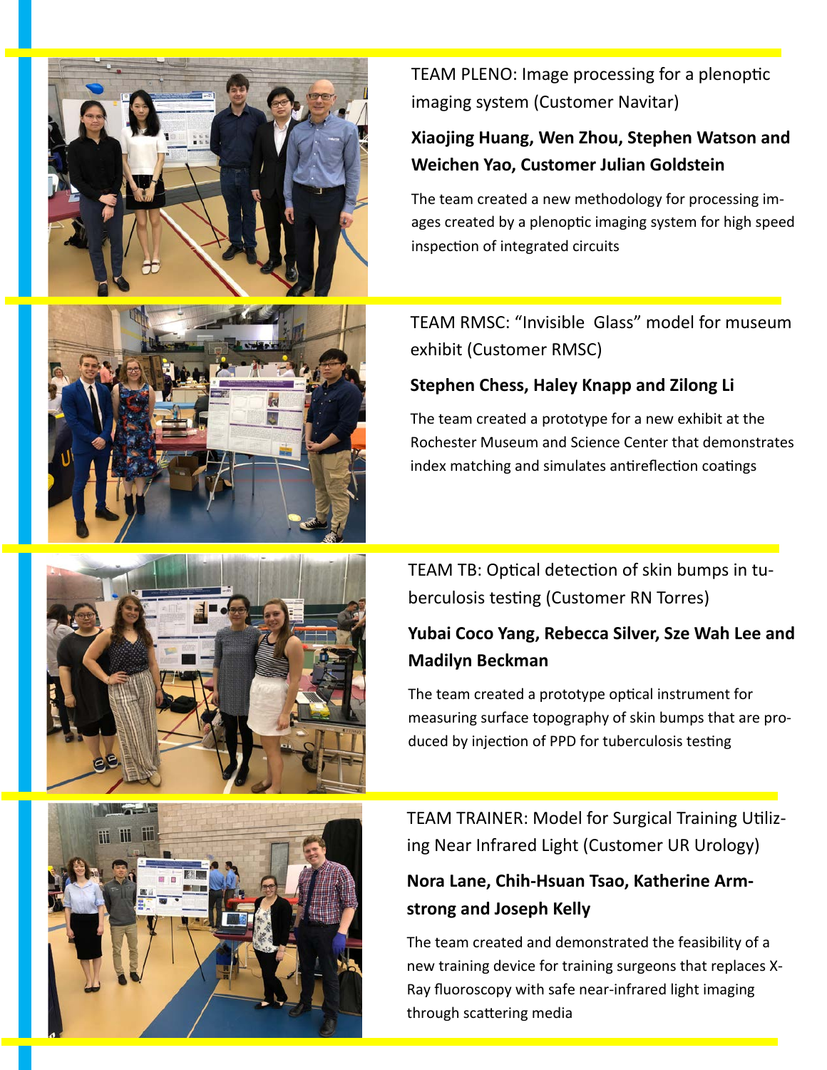







TEAM PLENO: Image processing for a plenoptic imaging system (Customer Navitar)

## **Xiaojing Huang, Wen Zhou, Stephen Watson and Weichen Yao, Customer Julian Goldstein**

The team created a new methodology for processing images created by a plenoptic imaging system for high speed inspection of integrated circuits

TEAM RMSC: "Invisible Glass" model for museum exhibit (Customer RMSC)

#### **Stephen Chess, Haley Knapp and Zilong Li**

The team created a prototype for a new exhibit at the Rochester Museum and Science Center that demonstrates index matching and simulates antireflection coatings

TEAM TB: Optical detection of skin bumps in tuberculosis testing (Customer RN Torres)

# **Yubai Coco Yang, Rebecca Silver, Sze Wah Lee and Madilyn Beckman**

The team created a prototype optical instrument for measuring surface topography of skin bumps that are produced by injection of PPD for tuberculosis testing

TEAM TRAINER: Model for Surgical Training Utilizing Near Infrared Light (Customer UR Urology)

# **Nora Lane, Chih-Hsuan Tsao, Katherine Armstrong and Joseph Kelly**

The team created and demonstrated the feasibility of a new training device for training surgeons that replaces X-Ray fluoroscopy with safe near-infrared light imaging through scattering media